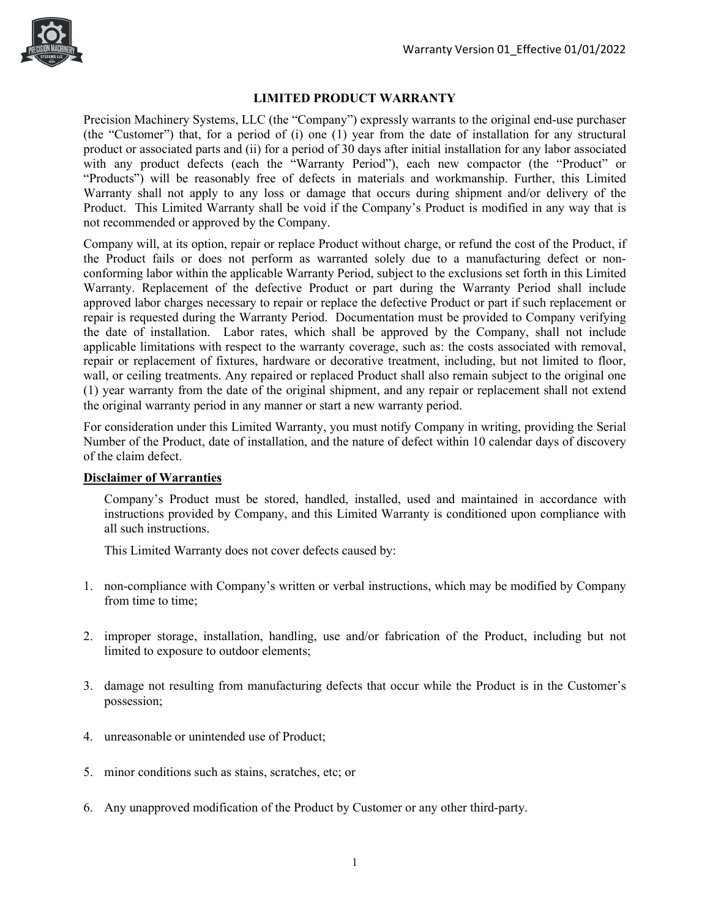

## **LIMITED PRODUCT WARRANTY**

Precision Machinery Systems, LLC (the "Company") expressly warrants to the original end-use purchaser (the "Customer") that, for a period of (i) one (1) year from the date of installation for any structural product or associated parts and (ii) for a period of 30 days after initial installation for any labor associated with any product defects (each the "Warranty Period"), each new compactor (the "Product" or "Products") will be reasonably free of defects in materials and workmanship. Further, this Limited Warranty shall not apply to any loss or damage that occurs during shipment and/or delivery of the Product. This Limited Warranty shall be void if the Company's Product is modified in any way that is not recommended or approved by the Company.

Company will, at its option, repair or replace Product without charge, or refund the cost of the Product, if the Product fails or does not perform as warranted solely due to a manufacturing defect or nonconforming labor within the applicable Warranty Period, subject to the exclusions set forth in this Limited Warranty. Replacement of the defective Product or part during the Warranty Period shall include approved labor charges necessary to repair or replace the defective Product or part if such replacement or repair is requested during the Warranty Period. Documentation must be provided to Company verifying the date of installation. Labor rates, which shall be approved by the Company, shall not include applicable limitations with respect to the warranty coverage, such as: the costs associated with removal, repair or replacement of fixtures, hardware or decorative treatment, including, but not limited to floor, wall, or ceiling treatments. Any repaired or replaced Product shall also remain subject to the original one (1) year warranty from the date of the original shipment, and any repair or replacement shall not extend the original warranty period in any manner or start a new warranty period.

For consideration under this Limited Warranty, you must notify Company in writing, providing the Serial Number of the Product, date of installation, and the nature of defect within 10 calendar days of discovery of the claim defect.

### **Disclaimer of Warranties**

Company's Product must be stored, handled, installed, used and maintained in accordance with instructions provided by Company, and this Limited Warranty is conditioned upon compliance with all such instructions.

This Limited Warranty does not cover defects caused by:

- 1. non-compliance with Company's written or verbal instructions, which may be modified by Company from time to time;
- 2. improper storage, installation, handling, use and/or fabrication of the Product, including but not limited to exposure to outdoor elements;
- 3. damage not resulting from manufacturing defects that occur while the Product is in the Customer's possession;
- 4. unreasonable or unintended use of Product;
- 5. minor conditions such as stains, scratches, etc; or
- 6. Any unapproved modification of the Product by Customer or any other third-party.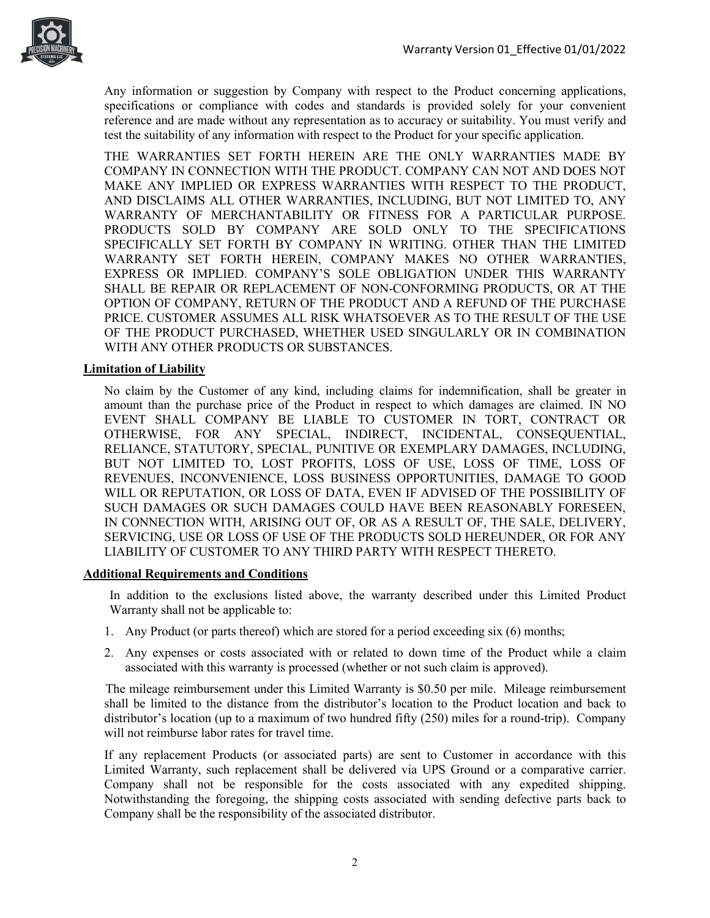

Any information or suggestion by Company with respect to the Product concerning applications, specifications or compliance with codes and standards is provided solely for your convenient reference and are made without any representation as to accuracy or suitability. You must verify and test the suitability of any information with respect to the Product for your specific application.

THE WARRANTIES SET FORTH HEREIN ARE THE ONLY WARRANTIES MADE BY COMPANY IN CONNECTION WITH THE PRODUCT. COMPANY CAN NOT AND DOES NOT MAKE ANY IMPLIED OR EXPRESS WARRANTIES WITH RESPECT TO THE PRODUCT, AND DISCLAIMS ALL OTHER WARRANTIES, INCLUDING, BUT NOT LIMITED TO, ANY WARRANTY OF MERCHANTABILITY OR FITNESS FOR A PARTICULAR PURPOSE. PRODUCTS SOLD BY COMPANY ARE SOLD ONLY TO THE SPECIFICATIONS SPECIFICALLY SET FORTH BY COMPANY IN WRITING. OTHER THAN THE LIMITED WARRANTY SET FORTH HEREIN, COMPANY MAKES NO OTHER WARRANTIES, EXPRESS OR IMPLIED. COMPANY'S SOLE OBLIGATION UNDER THIS WARRANTY SHALL BE REPAIR OR REPLACEMENT OF NON-CONFORMING PRODUCTS, OR AT THE OPTION OF COMPANY, RETURN OF THE PRODUCT AND A REFUND OF THE PURCHASE PRICE. CUSTOMER ASSUMES ALL RISK WHATSOEVER AS TO THE RESULT OF THE USE OF THE PRODUCT PURCHASED, WHETHER USED SINGULARLY OR IN COMBINATION WITH ANY OTHER PRODUCTS OR SUBSTANCES.

### **Limitation of Liability**

No claim by the Customer of any kind, including claims for indemnification, shall be greater in amount than the purchase price of the Product in respect to which damages are claimed. IN NO EVENT SHALL COMPANY BE LIABLE TO CUSTOMER IN TORT, CONTRACT OR OTHERWISE, FOR ANY SPECIAL, INDIRECT, INCIDENTAL, CONSEQUENTIAL, RELIANCE, STATUTORY, SPECIAL, PUNITIVE OR EXEMPLARY DAMAGES, INCLUDING, BUT NOT LIMITED TO, LOST PROFITS, LOSS OF USE, LOSS OF TIME, LOSS OF REVENUES, INCONVENIENCE, LOSS BUSINESS OPPORTUNITIES, DAMAGE TO GOOD WILL OR REPUTATION, OR LOSS OF DATA, EVEN IF ADVISED OF THE POSSIBILITY OF SUCH DAMAGES OR SUCH DAMAGES COULD HAVE BEEN REASONABLY FORESEEN, IN CONNECTION WITH, ARISING OUT OF, OR AS A RESULT OF, THE SALE, DELIVERY, SERVICING, USE OR LOSS OF USE OF THE PRODUCTS SOLD HEREUNDER, OR FOR ANY LIABILITY OF CUSTOMER TO ANY THIRD PARTY WITH RESPECT THERETO.

### **Additional Requirements and Conditions**

In addition to the exclusions listed above, the warranty described under this Limited Product Warranty shall not be applicable to:

- 1. Any Product (or parts thereof) which are stored for a period exceeding six (6) months;
- 2. Any expenses or costs associated with or related to down time of the Product while a claim associated with this warranty is processed (whether or not such claim is approved).

 The mileage reimbursement under this Limited Warranty is \$0.50 per mile. Mileage reimbursement shall be limited to the distance from the distributor's location to the Product location and back to distributor's location (up to a maximum of two hundred fifty (250) miles for a round-trip). Company will not reimburse labor rates for travel time.

If any replacement Products (or associated parts) are sent to Customer in accordance with this Limited Warranty, such replacement shall be delivered via UPS Ground or a comparative carrier. Company shall not be responsible for the costs associated with any expedited shipping. Notwithstanding the foregoing, the shipping costs associated with sending defective parts back to Company shall be the responsibility of the associated distributor.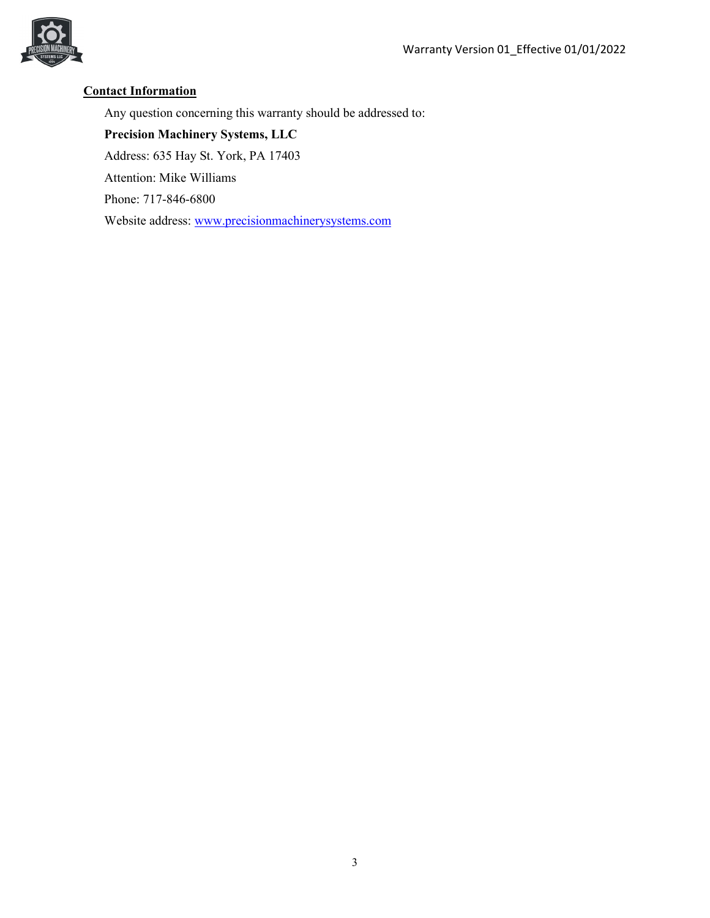

# **Contact Information**

Any question concerning this warranty should be addressed to:

**Precision Machinery Systems, LLC**  Address: 635 Hay St. York, PA 17403 Attention: Mike Williams Phone: 717-846-6800 Website address: [www.precisionmachinerysystems.com](http://www.precisionmachinerysystems.com/)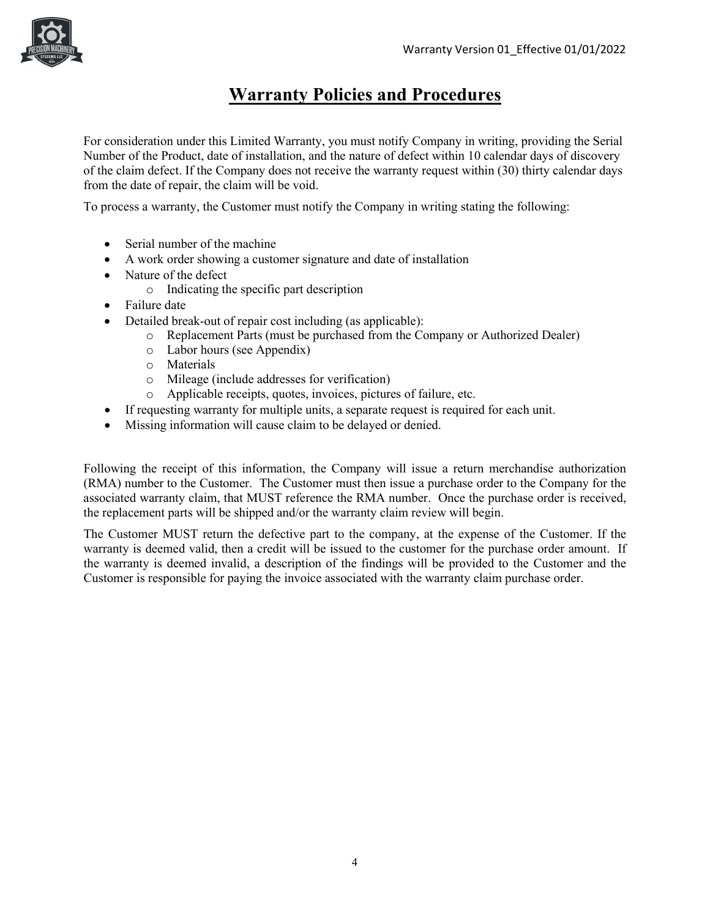

# **Warranty Policies and Procedures**

For consideration under this Limited Warranty, you must notify Company in writing, providing the Serial Number of the Product, date of installation, and the nature of defect within 10 calendar days of discovery of the claim defect. If the Company does not receive the warranty request within (30) thirty calendar days from the date of repair, the claim will be void.

To process a warranty, the Customer must notify the Company in writing stating the following:

- Serial number of the machine
- A work order showing a customer signature and date of installation
- Nature of the defect
	- o Indicating the specific part description
- Failure date
- Detailed break-out of repair cost including (as applicable):
	- o Replacement Parts (must be purchased from the Company or Authorized Dealer)
	- o Labor hours (see Appendix)
	- o Materials
	- o Mileage (include addresses for verification)
	- o Applicable receipts, quotes, invoices, pictures of failure, etc.
- If requesting warranty for multiple units, a separate request is required for each unit.
- Missing information will cause claim to be delayed or denied.

Following the receipt of this information, the Company will issue a return merchandise authorization (RMA) number to the Customer. The Customer must then issue a purchase order to the Company for the associated warranty claim, that MUST reference the RMA number. Once the purchase order is received, the replacement parts will be shipped and/or the warranty claim review will begin.

The Customer MUST return the defective part to the company, at the expense of the Customer. If the warranty is deemed valid, then a credit will be issued to the customer for the purchase order amount. If the warranty is deemed invalid, a description of the findings will be provided to the Customer and the Customer is responsible for paying the invoice associated with the warranty claim purchase order.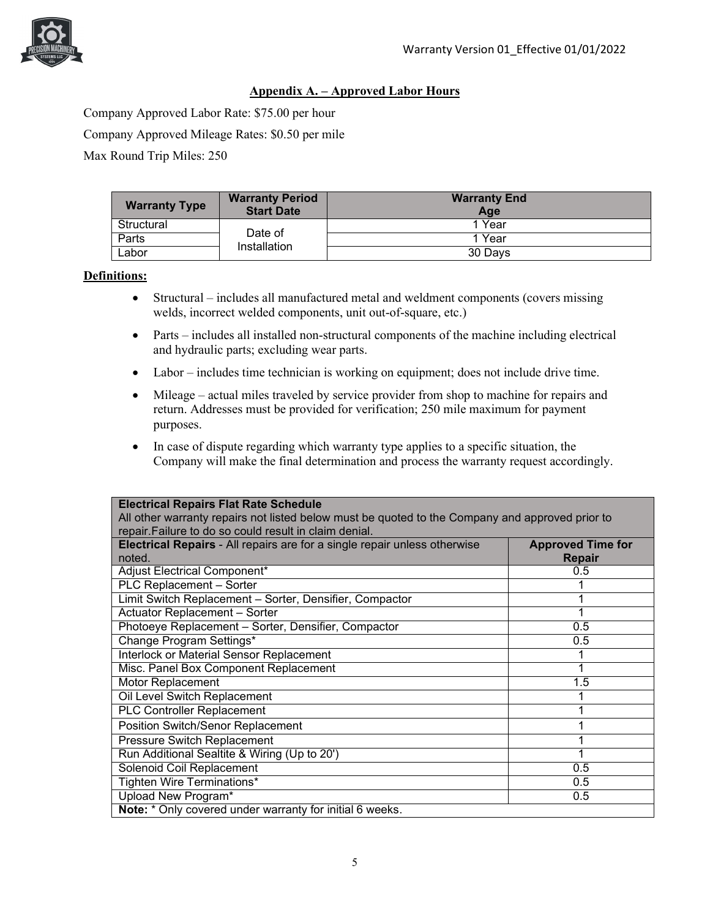

### **Appendix A. – Approved Labor Hours**

Company Approved Labor Rate: \$75.00 per hour Company Approved Mileage Rates: \$0.50 per mile Max Round Trip Miles: 250

| <b>Warranty Type</b> | <b>Warranty Period</b><br><b>Start Date</b> | <b>Warranty End</b><br>Age |
|----------------------|---------------------------------------------|----------------------------|
| Structural           | Date of<br>Installation                     | 1 Year                     |
| Parts                |                                             | 1 Year                     |
| ∟abor                |                                             | 30 Davs                    |

### **Definitions:**

- Structural includes all manufactured metal and weldment components (covers missing welds, incorrect welded components, unit out-of-square, etc.)
- Parts includes all installed non-structural components of the machine including electrical and hydraulic parts; excluding wear parts.
- Labor includes time technician is working on equipment; does not include drive time.
- Mileage actual miles traveled by service provider from shop to machine for repairs and return. Addresses must be provided for verification; 250 mile maximum for payment purposes.
- In case of dispute regarding which warranty type applies to a specific situation, the Company will make the final determination and process the warranty request accordingly.

| <b>Electrical Repairs Flat Rate Schedule</b>                                                    |                          |  |  |
|-------------------------------------------------------------------------------------------------|--------------------------|--|--|
| All other warranty repairs not listed below must be quoted to the Company and approved prior to |                          |  |  |
| repair. Failure to do so could result in claim denial.                                          |                          |  |  |
| <b>Electrical Repairs - All repairs are for a single repair unless otherwise</b>                | <b>Approved Time for</b> |  |  |
| noted.                                                                                          | <b>Repair</b>            |  |  |
| Adjust Electrical Component*                                                                    | 0.5                      |  |  |
| PLC Replacement - Sorter                                                                        |                          |  |  |
| Limit Switch Replacement - Sorter, Densifier, Compactor                                         |                          |  |  |
| <b>Actuator Replacement - Sorter</b>                                                            |                          |  |  |
| Photoeye Replacement - Sorter, Densifier, Compactor                                             | 0.5                      |  |  |
| Change Program Settings*                                                                        | 0.5                      |  |  |
| Interlock or Material Sensor Replacement                                                        |                          |  |  |
| Misc. Panel Box Component Replacement                                                           |                          |  |  |
| Motor Replacement                                                                               | 1.5                      |  |  |
| Oil Level Switch Replacement                                                                    |                          |  |  |
| <b>PLC Controller Replacement</b>                                                               |                          |  |  |
| Position Switch/Senor Replacement                                                               |                          |  |  |
| <b>Pressure Switch Replacement</b>                                                              |                          |  |  |
| Run Additional Sealtite & Wiring (Up to 20')                                                    |                          |  |  |
| Solenoid Coil Replacement                                                                       | 0.5                      |  |  |
| Tighten Wire Terminations*                                                                      | 0.5                      |  |  |
| Upload New Program*                                                                             | 0.5                      |  |  |
| Note: * Only covered under warranty for initial 6 weeks.                                        |                          |  |  |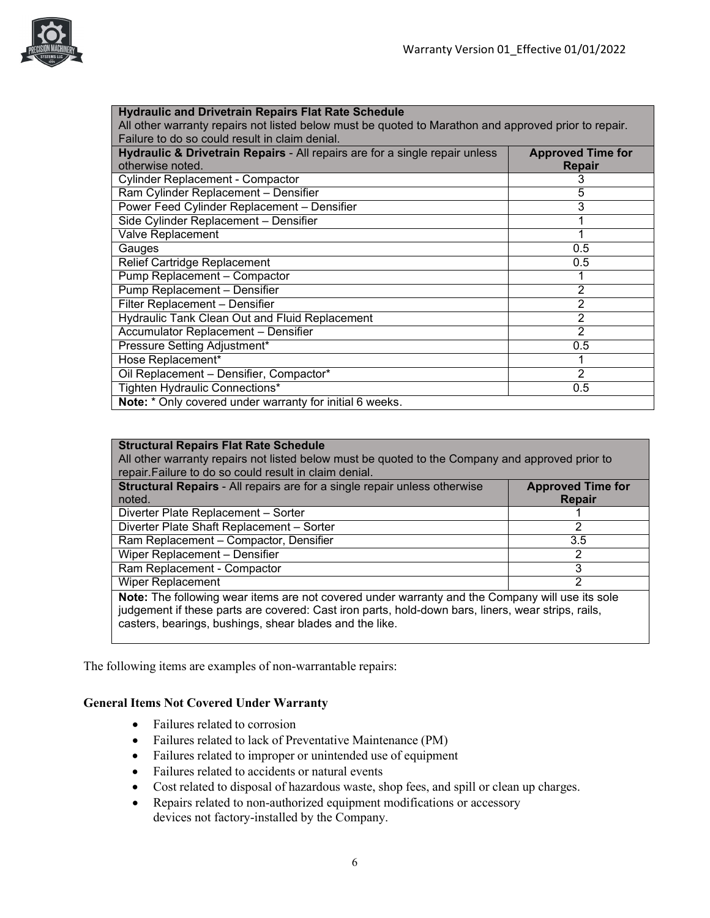

| <b>Hydraulic and Drivetrain Repairs Flat Rate Schedule</b>                                           |                          |  |  |
|------------------------------------------------------------------------------------------------------|--------------------------|--|--|
| All other warranty repairs not listed below must be quoted to Marathon and approved prior to repair. |                          |  |  |
| Failure to do so could result in claim denial.                                                       |                          |  |  |
| Hydraulic & Drivetrain Repairs - All repairs are for a single repair unless                          | <b>Approved Time for</b> |  |  |
| otherwise noted.                                                                                     | <b>Repair</b>            |  |  |
| <b>Cylinder Replacement - Compactor</b>                                                              |                          |  |  |
| Ram Cylinder Replacement - Densifier                                                                 | 5                        |  |  |
| Power Feed Cylinder Replacement - Densifier                                                          | $\bar{3}$                |  |  |
| Side Cylinder Replacement - Densifier                                                                |                          |  |  |
| Valve Replacement                                                                                    |                          |  |  |
| Gauges                                                                                               | 0.5                      |  |  |
| Relief Cartridge Replacement                                                                         | 0.5                      |  |  |
| Pump Replacement - Compactor                                                                         |                          |  |  |
| Pump Replacement - Densifier                                                                         | 2                        |  |  |
| Filter Replacement - Densifier                                                                       | 2                        |  |  |
| Hydraulic Tank Clean Out and Fluid Replacement                                                       | 2                        |  |  |
| Accumulator Replacement - Densifier                                                                  | 2                        |  |  |
| Pressure Setting Adjustment*                                                                         | 0.5                      |  |  |
| Hose Replacement*                                                                                    |                          |  |  |
| Oil Replacement - Densifier, Compactor*                                                              | 2                        |  |  |
| Tighten Hydraulic Connections*                                                                       | 0.5                      |  |  |
| Note: * Only covered under warranty for initial 6 weeks.                                             |                          |  |  |

### **Structural Repairs Flat Rate Schedule**

All other warranty repairs not listed below must be quoted to the Company and approved prior to repair.Failure to do so could result in claim denial.

| Structural Repairs - All repairs are for a single repair unless otherwise                       | <b>Approved Time for</b> |  |
|-------------------------------------------------------------------------------------------------|--------------------------|--|
| noted.                                                                                          | Repair                   |  |
| Diverter Plate Replacement - Sorter                                                             |                          |  |
| Diverter Plate Shaft Replacement - Sorter                                                       |                          |  |
| Ram Replacement - Compactor, Densifier                                                          | 3.5                      |  |
| Wiper Replacement - Densifier                                                                   |                          |  |
| Ram Replacement - Compactor                                                                     |                          |  |
| Wiper Replacement                                                                               |                          |  |
| Note: The following wear items are not covered under warranty and the Company will use its sole |                          |  |

judgement if these parts are covered: Cast iron parts, hold-down bars, liners, wear strips, rails, casters, bearings, bushings, shear blades and the like.

The following items are examples of non-warrantable repairs:

### **General Items Not Covered Under Warranty**

- Failures related to corrosion
- Failures related to lack of Preventative Maintenance (PM)
- Failures related to improper or unintended use of equipment
- Failures related to accidents or natural events
- Cost related to disposal of hazardous waste, shop fees, and spill or clean up charges.
- Repairs related to non-authorized equipment modifications or accessory devices not factory-installed by the Company.